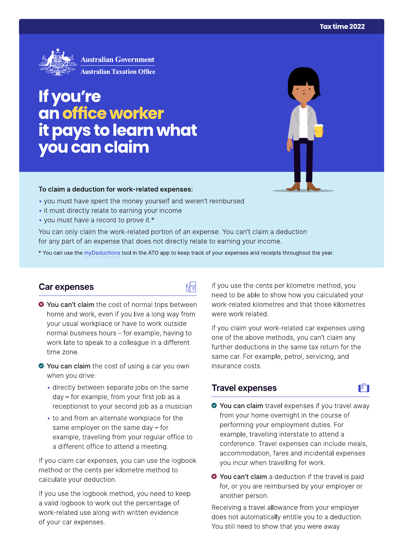

# If you're an office worker it pays to learn what<br>you can claim

### To claim a deduction for work-related expenses:

- you must have spent the money yourself and weren't reimbursed
- it must directly relate to earning your income
- you must have a record to prove it.\*

You can only claim the work-related portion of an expense. You can't claim a deduction for any part of an expense that does not directly relate to earning your income.

\* You can use the myDeductions tool in the ATO app to keep track of your expenses and receipts throughout the year.

品

# Car expenses

- <sup>●</sup> You can't claim the cost of normal trips between home and work, even if you live a long way from your usual workplace or have to work outside normal business hours - for example, having to work late to speak to a colleague in a different time zone.
- ◆ You can claim the cost of using a car you own when you drive:
	- · directly between separate jobs on the same day – for example, from your first job as a receptionist to your second job as a musician
	- to and from an alternate workplace for the same employer on the same day  $-$  for example, travelling from your regular office to a different office to attend a meeting.

If you claim car expenses, you can use the logbook method or the cents per kilometre method to calculate your deduction.

If you use the logbook method, you need to keep a valid logbook to work out the percentage of work-related use along with written evidence of your car expenses.

If you use the cents per kilometre method, you need to be able to show how you calculated your work-related kilometres and that those kilometres were work related.

If you claim your work-related car expenses using one of the above methods, you can't claim any further deductions in the same tax return for the same car. For example, petrol, servicing, and insurance costs.

# **Travel expenses**

- ◆ You can claim travel expenses if you travel away from your home overnight in the course of performing your employment duties. For example, travelling interstate to attend a conference. Travel expenses can include meals, accommodation, fares and incidental expenses you incur when travelling for work.
- <sup>3</sup> You can't claim a deduction if the travel is paid for, or you are reimbursed by your employer or another person.

Receiving a travel allowance from your employer does not automatically entitle you to a deduction. You still need to show that you were away